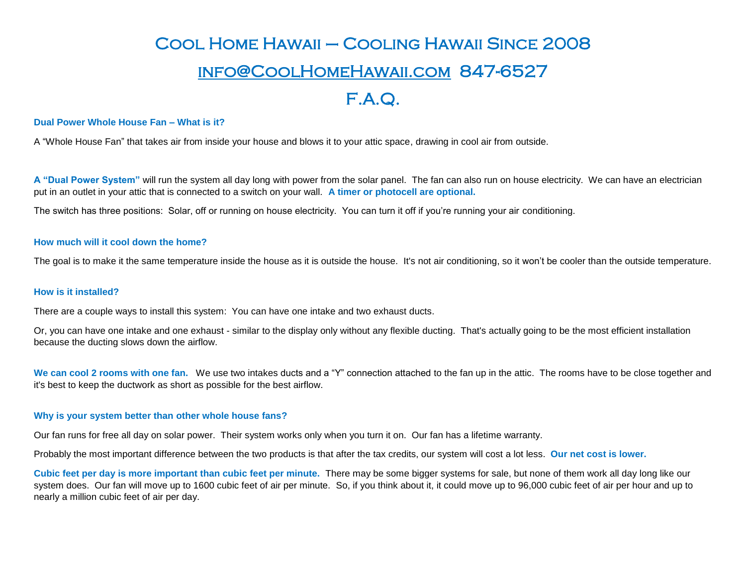# Cool Home Hawaii – Cooling Hawaii Since 2008 [info@CoolHomeHawaii.com](mailto:info@CoolHomeHawaii.com) 847-6527 F.A.Q.

## **Dual Power Whole House Fan – What is it?**

A "Whole House Fan" that takes air from inside your house and blows it to your attic space, drawing in cool air from outside.

**A "Dual Power System"** will run the system all day long with power from the solar panel. The fan can also run on house electricity. We can have an electrician put in an outlet in your attic that is connected to a switch on your wall. **A timer or photocell are optional.** 

The switch has three positions: Solar, off or running on house electricity. You can turn it off if you're running your air conditioning.

## **How much will it cool down the home?**

The goal is to make it the same temperature inside the house as it is outside the house. It's not air conditioning, so it won't be cooler than the outside temperature.

#### **How is it installed?**

There are a couple ways to install this system: You can have one intake and two exhaust ducts.

Or, you can have one intake and one exhaust - similar to the display only without any flexible ducting. That's actually going to be the most efficient installation because the ducting slows down the airflow.

We can cool 2 rooms with one fan. We use two intakes ducts and a "Y" connection attached to the fan up in the attic. The rooms have to be close together and it's best to keep the ductwork as short as possible for the best airflow.

#### **Why is your system better than other whole house fans?**

Our fan runs for free all day on solar power. Their system works only when you turn it on. Our fan has a lifetime warranty.

Probably the most important difference between the two products is that after the tax credits, our system will cost a lot less. **Our net cost is lower.**

**Cubic feet per day is more important than cubic feet per minute.** There may be some bigger systems for sale, but none of them work all day long like our system does. Our fan will move up to 1600 cubic feet of air per minute. So, if you think about it, it could move up to 96,000 cubic feet of air per hour and up to nearly a million cubic feet of air per day.